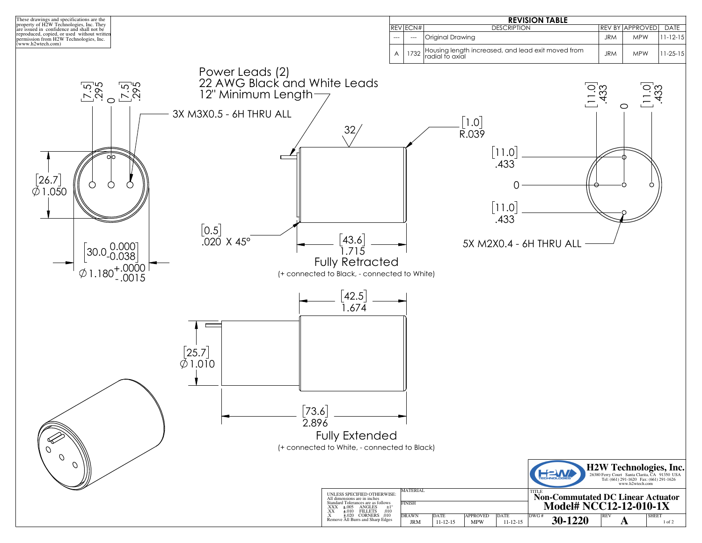